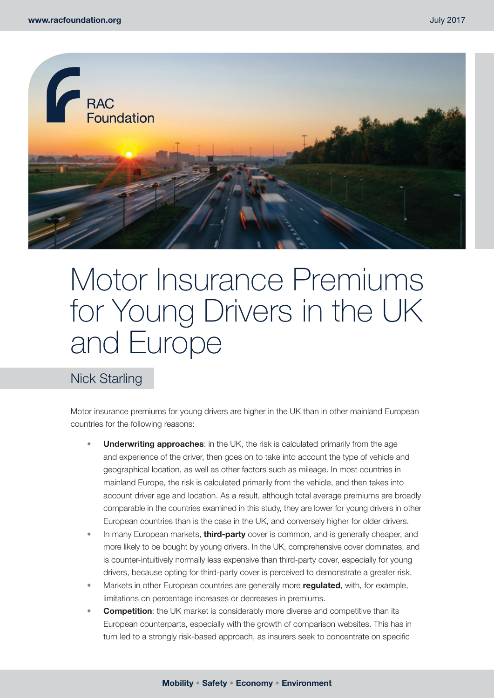

# Motor Insurance Premiums for Young Drivers in the UK and Europe

# Nick Starling

Motor insurance premiums for young drivers are higher in the UK than in other mainland European countries for the following reasons:

- **Underwriting approaches:** in the UK, the risk is calculated primarily from the age and experience of the driver, then goes on to take into account the type of vehicle and geographical location, as well as other factors such as mileage. In most countries in mainland Europe, the risk is calculated primarily from the vehicle, and then takes into account driver age and location. As a result, although total average premiums are broadly comparable in the countries examined in this study, they are lower for young drivers in other European countries than is the case in the UK, and conversely higher for older drivers.
- In many European markets, **third-party** cover is common, and is generally cheaper, and more likely to be bought by young drivers. In the UK, comprehensive cover dominates, and is counter-intuitively normally less expensive than third-party cover, especially for young drivers, because opting for third-party cover is perceived to demonstrate a greater risk.
- Markets in other European countries are generally more **regulated**, with, for example, limitations on percentage increases or decreases in premiums.
- **Competition**: the UK market is considerably more diverse and competitive than its European counterparts, especially with the growth of comparison websites. This has in turn led to a strongly risk-based approach, as insurers seek to concentrate on specific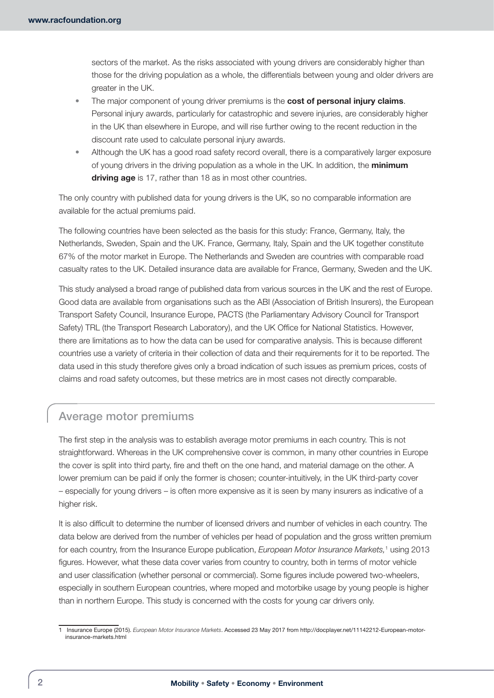sectors of the market. As the risks associated with young drivers are considerably higher than those for the driving population as a whole, the differentials between young and older drivers are greater in the UK.

- The major component of young driver premiums is the **cost of personal injury claims**. Personal injury awards, particularly for catastrophic and severe injuries, are considerably higher in the UK than elsewhere in Europe, and will rise further owing to the recent reduction in the discount rate used to calculate personal injury awards.
- Although the UK has a good road safety record overall, there is a comparatively larger exposure of young drivers in the driving population as a whole in the UK. In addition, the **minimum driving age** is 17, rather than 18 as in most other countries.

The only country with published data for young drivers is the UK, so no comparable information are available for the actual premiums paid.

The following countries have been selected as the basis for this study: France, Germany, Italy, the Netherlands, Sweden, Spain and the UK. France, Germany, Italy, Spain and the UK together constitute 67% of the motor market in Europe. The Netherlands and Sweden are countries with comparable road casualty rates to the UK. Detailed insurance data are available for France, Germany, Sweden and the UK.

This study analysed a broad range of published data from various sources in the UK and the rest of Europe. Good data are available from organisations such as the ABI (Association of British Insurers), the European Transport Safety Council, Insurance Europe, PACTS (the Parliamentary Advisory Council for Transport Safety) TRL (the Transport Research Laboratory), and the UK Office for National Statistics. However, there are limitations as to how the data can be used for comparative analysis. This is because different countries use a variety of criteria in their collection of data and their requirements for it to be reported. The data used in this study therefore gives only a broad indication of such issues as premium prices, costs of claims and road safety outcomes, but these metrics are in most cases not directly comparable.

# Average motor premiums

The first step in the analysis was to establish average motor premiums in each country. This is not straightforward. Whereas in the UK comprehensive cover is common, in many other countries in Europe the cover is split into third party, fire and theft on the one hand, and material damage on the other. A lower premium can be paid if only the former is chosen; counter-intuitively, in the UK third-party cover – especially for young drivers – is often more expensive as it is seen by many insurers as indicative of a higher risk.

It is also difficult to determine the number of licensed drivers and number of vehicles in each country. The data below are derived from the number of vehicles per head of population and the gross written premium for each country, from the Insurance Europe publication, *European Motor Insurance Markets*,<sup>1</sup> using 2013 figures. However, what these data cover varies from country to country, both in terms of motor vehicle and user classification (whether personal or commercial). Some figures include powered two-wheelers, especially in southern European countries, where moped and motorbike usage by young people is higher than in northern Europe. This study is concerned with the costs for young car drivers only.

<sup>1</sup> Insurance Europe (2015). *European Motor Insurance Markets*. Accessed 23 May 2017 from [http://docplayer.net/11142212-European-motor](http://docplayer.net/11142212-European-motor-insurance-markets.html)[insurance-markets.html](http://docplayer.net/11142212-European-motor-insurance-markets.html)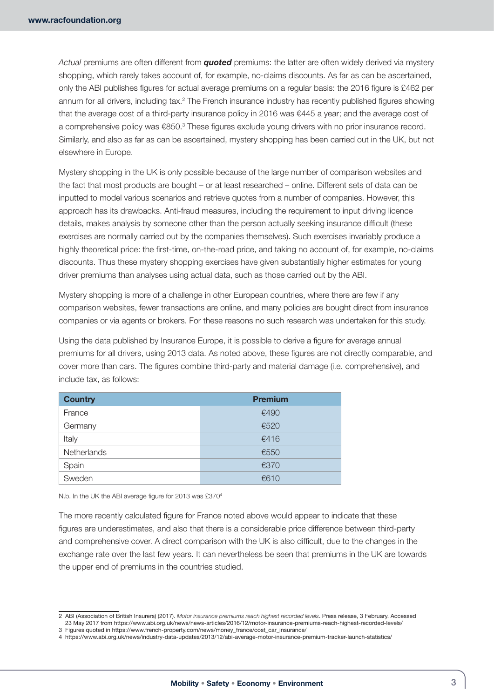*Actual* premiums are often different from *quoted* premiums: the latter are often widely derived via mystery shopping, which rarely takes account of, for example, no-claims discounts. As far as can be ascertained, only the ABI publishes figures for actual average premiums on a regular basis: the 2016 figure is £462 per annum for all drivers, including tax.<sup>2</sup> The French insurance industry has recently published figures showing that the average cost of a third-party insurance policy in 2016 was €445 a year; and the average cost of a comprehensive policy was €850.<sup>3</sup> These figures exclude young drivers with no prior insurance record. Similarly, and also as far as can be ascertained, mystery shopping has been carried out in the UK, but not elsewhere in Europe.

Mystery shopping in the UK is only possible because of the large number of comparison websites and the fact that most products are bought – or at least researched – online. Different sets of data can be inputted to model various scenarios and retrieve quotes from a number of companies. However, this approach has its drawbacks. Anti-fraud measures, including the requirement to input driving licence details, makes analysis by someone other than the person actually seeking insurance difficult (these exercises are normally carried out by the companies themselves). Such exercises invariably produce a highly theoretical price: the first-time, on-the-road price, and taking no account of, for example, no-claims discounts. Thus these mystery shopping exercises have given substantially higher estimates for young driver premiums than analyses using actual data, such as those carried out by the ABI.

Mystery shopping is more of a challenge in other European countries, where there are few if any comparison websites, fewer transactions are online, and many policies are bought direct from insurance companies or via agents or brokers. For these reasons no such research was undertaken for this study.

Using the data published by Insurance Europe, it is possible to derive a figure for average annual premiums for all drivers, using 2013 data. As noted above, these figures are not directly comparable, and cover more than cars. The figures combine third-party and material damage (i.e. comprehensive), and include tax, as follows:

| <b>Country</b> | <b>Premium</b> |
|----------------|----------------|
| France         | €490           |
| Germany        | €520           |
| Italy          | €416           |
| Netherlands    | €550           |
| Spain          | €370           |
| Sweden         | €610           |

N.b. In the UK the ABI average figure for 2013 was £3704

The more recently calculated figure for France noted above would appear to indicate that these figures are underestimates, and also that there is a considerable price difference between third-party and comprehensive cover. A direct comparison with the UK is also difficult, due to the changes in the exchange rate over the last few years. It can nevertheless be seen that premiums in the UK are towards the upper end of premiums in the countries studied.

<sup>2</sup> ABI (Association of British Insurers) (2017). *Motor insurance premiums reach highest recorded levels*. Press release, 3 February. Accessed 23 May 2017 from<https://www.abi.org.uk/news/news-articles/2016/12/motor-insurance-premiums-reach-highest-recorded-levels/>

<sup>3</sup> Figures quoted in [https://www.french-property.com/news/money\\_france/cost\\_car\\_insurance/](https://www.french-property.com/news/money_france/cost_car_insurance/) 4 <https://www.abi.org.uk/news/industry-data-updates/2013/12/abi-average-motor-insurance-premium-tracker-launch-statistics/>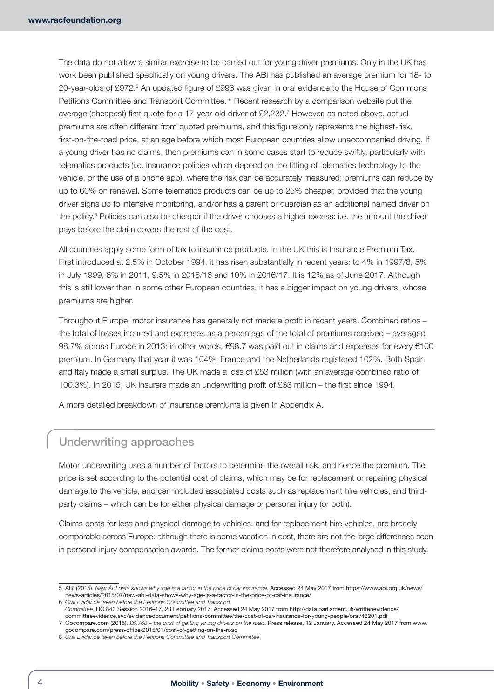The data do not allow a similar exercise to be carried out for young driver premiums. Only in the UK has work been published specifically on young drivers. The ABI has published an average premium for 18- to 20-year-olds of £972.<sup>5</sup> An updated figure of £993 was given in oral evidence to the House of Commons Petitions Committee and Transport Committee. <sup>6</sup> Recent research by a comparison website put the average (cheapest) first quote for a 17-year-old driver at £2,232.7 However, as noted above, actual premiums are often different from quoted premiums, and this figure only represents the highest-risk, first-on-the-road price, at an age before which most European countries allow unaccompanied driving. If a young driver has no claims, then premiums can in some cases start to reduce swiftly, particularly with telematics products (i.e. insurance policies which depend on the fitting of telematics technology to the vehicle, or the use of a phone app), where the risk can be accurately measured; premiums can reduce by up to 60% on renewal. Some telematics products can be up to 25% cheaper, provided that the young driver signs up to intensive monitoring, and/or has a parent or guardian as an additional named driver on the policy.<sup>8</sup> Policies can also be cheaper if the driver chooses a higher excess: i.e. the amount the driver pays before the claim covers the rest of the cost.

All countries apply some form of tax to insurance products. In the UK this is Insurance Premium Tax. First introduced at 2.5% in October 1994, it has risen substantially in recent years: to 4% in 1997/8, 5% in July 1999, 6% in 2011, 9.5% in 2015/16 and 10% in 2016/17. It is 12% as of June 2017. Although this is still lower than in some other European countries, it has a bigger impact on young drivers, whose premiums are higher.

Throughout Europe, motor insurance has generally not made a profit in recent years. Combined ratios – the total of losses incurred and expenses as a percentage of the total of premiums received – averaged 98.7% across Europe in 2013; in other words, €98.7 was paid out in claims and expenses for every €100 premium. In Germany that year it was 104%; France and the Netherlands registered 102%. Both Spain and Italy made a small surplus. The UK made a loss of £53 million (with an average combined ratio of 100.3%). In 2015, UK insurers made an underwriting profit of £33 million – the first since 1994.

A more detailed breakdown of insurance premiums is given in Appendix A.

# Underwriting approaches

Motor underwriting uses a number of factors to determine the overall risk, and hence the premium. The price is set according to the potential cost of claims, which may be for replacement or repairing physical damage to the vehicle, and can included associated costs such as replacement hire vehicles; and thirdparty claims – which can be for either physical damage or personal injury (or both).

Claims costs for loss and physical damage to vehicles, and for replacement hire vehicles, are broadly comparable across Europe: although there is some variation in cost, there are not the large differences seen in personal injury compensation awards. The former claims costs were not therefore analysed in this study.

<sup>5</sup> ABI (2015). *New ABI data shows why age is a factor in the price of car insurance*. Accessed 24 May 2017 from [https://www.abi.org.uk/news/](https://www.abi.org.uk/news/news-articles/2015/07/new-abi-data-shows-why-age-is-a-factor-in-the-price-of-car-insurance/) [news-articles/2015/07/new-abi-data-shows-why-age-is-a-factor-in-the-price-of-car-insurance/](https://www.abi.org.uk/news/news-articles/2015/07/new-abi-data-shows-why-age-is-a-factor-in-the-price-of-car-insurance/)

<sup>6</sup> *Oral Evidence taken before the Petitions Committee and Transport*

*Committee*, HC 840 Session 2016–17, 28 February 2017. Accessed 24 May 2017 from [http://data.parliament.uk/writtenevidence/](http://data.parliament.uk/writtenevidence/committeeevidence.svc/evidencedocument/petitions-committee/the-cost-of-car-insurance-for-young-people/oral/48201.pdf) [committeeevidence.svc/evidencedocument/petitions-committee/the-cost-of-car-insurance-for-young-people/oral/48201.pdf](http://data.parliament.uk/writtenevidence/committeeevidence.svc/evidencedocument/petitions-committee/the-cost-of-car-insurance-for-young-people/oral/48201.pdf)

<sup>7</sup> Gocompare.com (2015). *£6,768 – the cost of getting young drivers on the road*. Press release, 12 January. Accessed 24 May 2017 from [www.](http://www.gocompare.com/press-office/2015/01/cost-of-getting-on-the-road) [gocompare.com/press-office/2015/01/cost-of-getting-on-the-road](http://www.gocompare.com/press-office/2015/01/cost-of-getting-on-the-road)

<sup>8</sup> *Oral Evidence taken before the Petitions Committee and Transport Committee*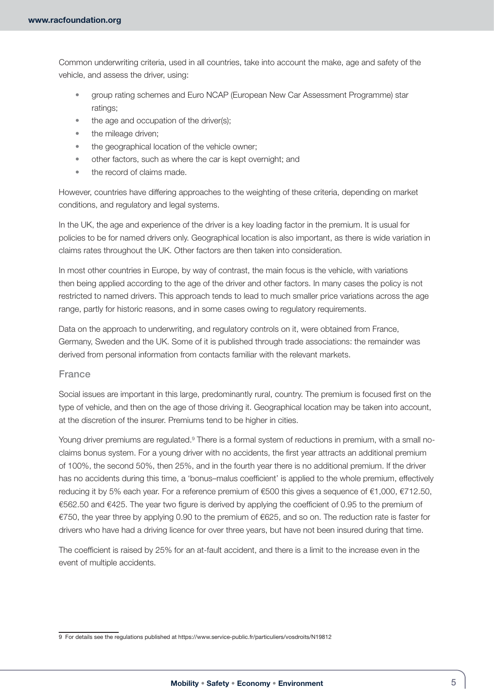Common underwriting criteria, used in all countries, take into account the make, age and safety of the vehicle, and assess the driver, using:

- group rating schemes and Euro NCAP (European New Car Assessment Programme) star ratings;
- the age and occupation of the driver(s);
- the mileage driven;
- the geographical location of the vehicle owner;
- other factors, such as where the car is kept overnight; and
- the record of claims made.

However, countries have differing approaches to the weighting of these criteria, depending on market conditions, and regulatory and legal systems.

In the UK, the age and experience of the driver is a key loading factor in the premium. It is usual for policies to be for named drivers only. Geographical location is also important, as there is wide variation in claims rates throughout the UK. Other factors are then taken into consideration.

In most other countries in Europe, by way of contrast, the main focus is the vehicle, with variations then being applied according to the age of the driver and other factors. In many cases the policy is not restricted to named drivers. This approach tends to lead to much smaller price variations across the age range, partly for historic reasons, and in some cases owing to regulatory requirements.

Data on the approach to underwriting, and regulatory controls on it, were obtained from France, Germany, Sweden and the UK. Some of it is published through trade associations: the remainder was derived from personal information from contacts familiar with the relevant markets.

#### France

Social issues are important in this large, predominantly rural, country. The premium is focused first on the type of vehicle, and then on the age of those driving it. Geographical location may be taken into account, at the discretion of the insurer. Premiums tend to be higher in cities.

Young driver premiums are regulated.<sup>9</sup> There is a formal system of reductions in premium, with a small noclaims bonus system. For a young driver with no accidents, the first year attracts an additional premium of 100%, the second 50%, then 25%, and in the fourth year there is no additional premium. If the driver has no accidents during this time, a 'bonus–malus coefficient' is applied to the whole premium, effectively reducing it by 5% each year. For a reference premium of €500 this gives a sequence of €1,000, €712.50, €562.50 and €425. The year two figure is derived by applying the coefficient of 0.95 to the premium of €750, the year three by applying 0.90 to the premium of €625, and so on. The reduction rate is faster for drivers who have had a driving licence for over three years, but have not been insured during that time.

The coefficient is raised by 25% for an at-fault accident, and there is a limit to the increase even in the event of multiple accidents.

<sup>9</sup> For details see the regulations published at <https://www.service-public.fr/particuliers/vosdroits/N19812>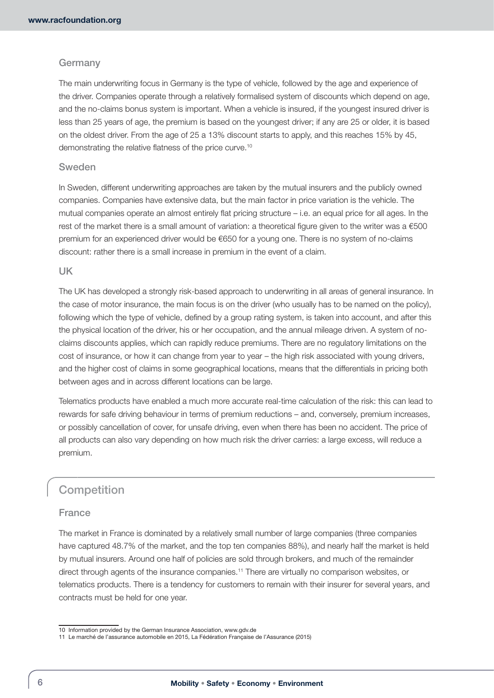### Germany

The main underwriting focus in Germany is the type of vehicle, followed by the age and experience of the driver. Companies operate through a relatively formalised system of discounts which depend on age, and the no-claims bonus system is important. When a vehicle is insured, if the youngest insured driver is less than 25 years of age, the premium is based on the youngest driver; if any are 25 or older, it is based on the oldest driver. From the age of 25 a 13% discount starts to apply, and this reaches 15% by 45, demonstrating the relative flatness of the price curve.10

#### Sweden

In Sweden, different underwriting approaches are taken by the mutual insurers and the publicly owned companies. Companies have extensive data, but the main factor in price variation is the vehicle. The mutual companies operate an almost entirely flat pricing structure – i.e. an equal price for all ages. In the rest of the market there is a small amount of variation: a theoretical figure given to the writer was a €500 premium for an experienced driver would be €650 for a young one. There is no system of no-claims discount: rather there is a small increase in premium in the event of a claim.

#### UK

The UK has developed a strongly risk-based approach to underwriting in all areas of general insurance. In the case of motor insurance, the main focus is on the driver (who usually has to be named on the policy), following which the type of vehicle, defined by a group rating system, is taken into account, and after this the physical location of the driver, his or her occupation, and the annual mileage driven. A system of noclaims discounts applies, which can rapidly reduce premiums. There are no regulatory limitations on the cost of insurance, or how it can change from year to year – the high risk associated with young drivers, and the higher cost of claims in some geographical locations, means that the differentials in pricing both between ages and in across different locations can be large.

Telematics products have enabled a much more accurate real-time calculation of the risk: this can lead to rewards for safe driving behaviour in terms of premium reductions – and, conversely, premium increases, or possibly cancellation of cover, for unsafe driving, even when there has been no accident. The price of all products can also vary depending on how much risk the driver carries: a large excess, will reduce a premium.

# **Competition**

### France

The market in France is dominated by a relatively small number of large companies (three companies have captured 48.7% of the market, and the top ten companies 88%), and nearly half the market is held by mutual insurers. Around one half of policies are sold through brokers, and much of the remainder direct through agents of the insurance companies.11 There are virtually no comparison websites, or telematics products. There is a tendency for customers to remain with their insurer for several years, and contracts must be held for one year.

<sup>10</sup> Information provided by the German Insurance Association, [www.gdv.de](http://www.gdv.de)

<sup>11</sup> Le marché de l'assurance automobile en 2015, La Fédération Française de l'Assurance (2015)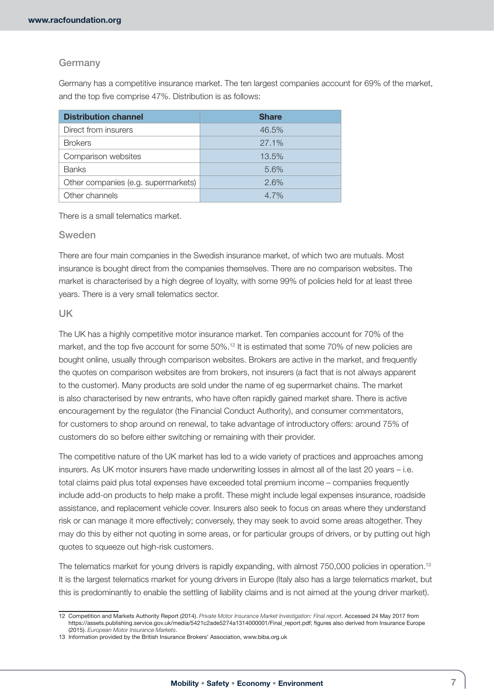### Germany

Germany has a competitive insurance market. The ten largest companies account for 69% of the market, and the top five comprise 47%. Distribution is as follows:

| <b>Distribution channel</b>         | <b>Share</b> |
|-------------------------------------|--------------|
| Direct from insurers                | 46.5%        |
| <b>Brokers</b>                      | $27.1\%$     |
| Comparison websites                 | 13.5%        |
| <b>Banks</b>                        | 5.6%         |
| Other companies (e.g. supermarkets) | 2.6%         |
| Other channels                      | $4.7\%$      |

There is a small telematics market.

#### Sweden

There are four main companies in the Swedish insurance market, of which two are mutuals. Most insurance is bought direct from the companies themselves. There are no comparison websites. The market is characterised by a high degree of loyalty, with some 99% of policies held for at least three years. There is a very small telematics sector.

#### UK

The UK has a highly competitive motor insurance market. Ten companies account for 70% of the market, and the top five account for some 50%.12 It is estimated that some 70% of new policies are bought online, usually through comparison websites. Brokers are active in the market, and frequently the quotes on comparison websites are from brokers, not insurers (a fact that is not always apparent to the customer). Many products are sold under the name of eg supermarket chains. The market is also characterised by new entrants, who have often rapidly gained market share. There is active encouragement by the regulator (the Financial Conduct Authority), and consumer commentators, for customers to shop around on renewal, to take advantage of introductory offers: around 75% of customers do so before either switching or remaining with their provider.

The competitive nature of the UK market has led to a wide variety of practices and approaches among insurers. As UK motor insurers have made underwriting losses in almost all of the last 20 years – i.e. total claims paid plus total expenses have exceeded total premium income – companies frequently include add-on products to help make a profit. These might include legal expenses insurance, roadside assistance, and replacement vehicle cover. Insurers also seek to focus on areas where they understand risk or can manage it more effectively; conversely, they may seek to avoid some areas altogether. They may do this by either not quoting in some areas, or for particular groups of drivers, or by putting out high quotes to squeeze out high-risk customers.

The telematics market for young drivers is rapidly expanding, with almost 750,000 policies in operation.<sup>13</sup> It is the largest telematics market for young drivers in Europe (Italy also has a large telematics market, but this is predominantly to enable the settling of liability claims and is not aimed at the young driver market).

<sup>12</sup> Competition and Markets Authority Report (2014). *Private Motor Insurance Market Investigation: Final report*. Accessed 24 May 2017 from [https://assets.publishing.service.gov.uk/media/5421c2ade5274a1314000001/Final\\_report.pdf;](https://assets.publishing.service.gov.uk/media/5421c2ade5274a1314000001/Final_report.pdf) figures also derived from Insurance Europe (2015). *European Motor Insurance Markets*.

<sup>13</sup> Information provided by the British Insurance Brokers' Association, [www.biba.org.uk](http://www.biba.org.uk)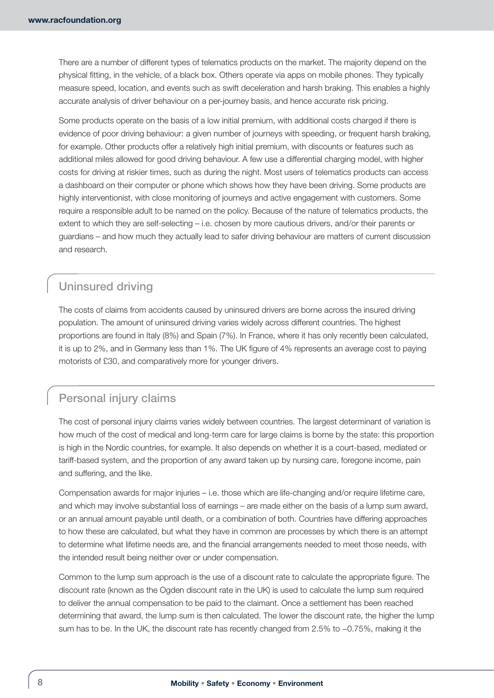There are a number of different types of telematics products on the market. The majority depend on the physical fitting, in the vehicle, of a black box. Others operate via apps on mobile phones. They typically measure speed, location, and events such as swift deceleration and harsh braking. This enables a highly accurate analysis of driver behaviour on a per-journey basis, and hence accurate risk pricing.

Some products operate on the basis of a low initial premium, with additional costs charged if there is evidence of poor driving behaviour: a given number of journeys with speeding, or frequent harsh braking, for example. Other products offer a relatively high initial premium, with discounts or features such as additional miles allowed for good driving behaviour. A few use a differential charging model, with higher costs for driving at riskier times, such as during the night. Most users of telematics products can access a dashboard on their computer or phone which shows how they have been driving. Some products are highly interventionist, with close monitoring of journeys and active engagement with customers. Some require a responsible adult to be named on the policy. Because of the nature of telematics products, the extent to which they are self-selecting – i.e. chosen by more cautious drivers, and/or their parents or guardians – and how much they actually lead to safer driving behaviour are matters of current discussion and research.

# Uninsured driving

The costs of claims from accidents caused by uninsured drivers are borne across the insured driving population. The amount of uninsured driving varies widely across different countries. The highest proportions are found in Italy (8%) and Spain (7%). In France, where it has only recently been calculated, it is up to 2%, and in Germany less than 1%. The UK figure of 4% represents an average cost to paying motorists of £30, and comparatively more for younger drivers.

# Personal injury claims

The cost of personal injury claims varies widely between countries. The largest determinant of variation is how much of the cost of medical and long-term care for large claims is borne by the state: this proportion is high in the Nordic countries, for example. It also depends on whether it is a court-based, mediated or tariff-based system, and the proportion of any award taken up by nursing care, foregone income, pain and suffering, and the like.

Compensation awards for major injuries – i.e. those which are life-changing and/or require lifetime care, and which may involve substantial loss of earnings – are made either on the basis of a lump sum award, or an annual amount payable until death, or a combination of both. Countries have differing approaches to how these are calculated, but what they have in common are processes by which there is an attempt to determine what lifetime needs are, and the financial arrangements needed to meet those needs, with the intended result being neither over or under compensation.

Common to the lump sum approach is the use of a discount rate to calculate the appropriate figure. The discount rate (known as the Ogden discount rate in the UK) is used to calculate the lump sum required to deliver the annual compensation to be paid to the claimant. Once a settlement has been reached determining that award, the lump sum is then calculated. The lower the discount rate, the higher the lump sum has to be. In the UK, the discount rate has recently changed from 2.5% to −0.75%, making it the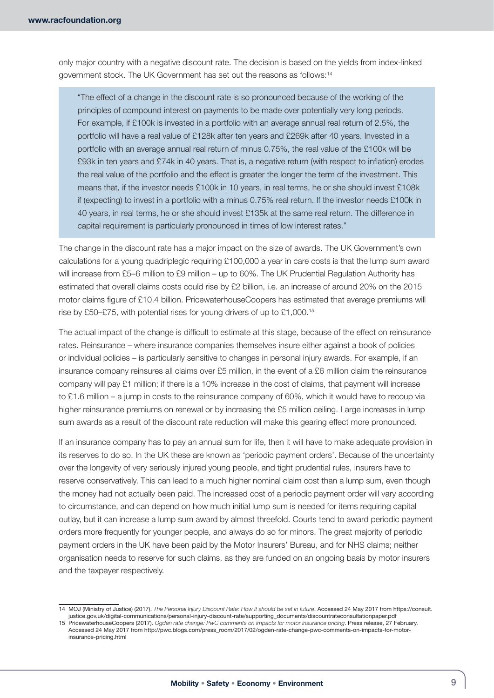only major country with a negative discount rate. The decision is based on the yields from index-linked government stock. The UK Government has set out the reasons as follows:14

"The effect of a change in the discount rate is so pronounced because of the working of the principles of compound interest on payments to be made over potentially very long periods. For example, if £100k is invested in a portfolio with an average annual real return of 2.5%, the portfolio will have a real value of £128k after ten years and £269k after 40 years. Invested in a portfolio with an average annual real return of minus 0.75%, the real value of the £100k will be £93k in ten years and £74k in 40 years. That is, a negative return (with respect to inflation) erodes the real value of the portfolio and the effect is greater the longer the term of the investment. This means that, if the investor needs £100k in 10 years, in real terms, he or she should invest £108k if (expecting) to invest in a portfolio with a minus 0.75% real return. If the investor needs £100k in 40 years, in real terms, he or she should invest £135k at the same real return. The difference in capital requirement is particularly pronounced in times of low interest rates."

The change in the discount rate has a major impact on the size of awards. The UK Government's own calculations for a young quadriplegic requiring £100,000 a year in care costs is that the lump sum award will increase from £5–6 million to £9 million – up to 60%. The UK Prudential Regulation Authority has estimated that overall claims costs could rise by £2 billion, i.e. an increase of around 20% on the 2015 motor claims figure of £10.4 billion. PricewaterhouseCoopers has estimated that average premiums will rise by £50–£75, with potential rises for young drivers of up to £1,000.15

The actual impact of the change is difficult to estimate at this stage, because of the effect on reinsurance rates. Reinsurance – where insurance companies themselves insure either against a book of policies or individual policies – is particularly sensitive to changes in personal injury awards. For example, if an insurance company reinsures all claims over £5 million, in the event of a £6 million claim the reinsurance company will pay £1 million; if there is a 10% increase in the cost of claims, that payment will increase to £1.6 million – a jump in costs to the reinsurance company of 60%, which it would have to recoup via higher reinsurance premiums on renewal or by increasing the £5 million ceiling. Large increases in lump sum awards as a result of the discount rate reduction will make this gearing effect more pronounced.

If an insurance company has to pay an annual sum for life, then it will have to make adequate provision in its reserves to do so. In the UK these are known as 'periodic payment orders'. Because of the uncertainty over the longevity of very seriously injured young people, and tight prudential rules, insurers have to reserve conservatively. This can lead to a much higher nominal claim cost than a lump sum, even though the money had not actually been paid. The increased cost of a periodic payment order will vary according to circumstance, and can depend on how much initial lump sum is needed for items requiring capital outlay, but it can increase a lump sum award by almost threefold. Courts tend to award periodic payment orders more frequently for younger people, and always do so for minors. The great majority of periodic payment orders in the UK have been paid by the Motor Insurers' Bureau, and for NHS claims; neither organisation needs to reserve for such claims, as they are funded on an ongoing basis by motor insurers and the taxpayer respectively.

<sup>14</sup> MOJ (Ministry of Justice) (2017). *The Personal Injury Discount Rate: How it should be set in future*. Accessed 24 May 2017 from [https://consult.](https://consult.justice.gov.uk/digital-communications/personal-injury-discount-rate/supporting_documents/discountrateconsultationpaper.pdf) [justice.gov.uk/digital-communications/personal-injury-discount-rate/supporting\\_documents/discountrateconsultationpaper.pdf](https://consult.justice.gov.uk/digital-communications/personal-injury-discount-rate/supporting_documents/discountrateconsultationpaper.pdf)

<sup>15</sup> PricewaterhouseCoopers (2017). *Ogden rate change: PwC comments on impacts for motor insurance pricing*. Press release, 27 February. Accessed 24 May 2017 from [http://pwc.blogs.com/press\\_room/2017/02/ogden-rate-change-pwc-comments-on-impacts-for-motor](http://pwc.blogs.com/press_room/2017/02/ogden-rate-change-pwc-comments-on-impacts-for-motor-insurance-pricing.html)[insurance-pricing.html](http://pwc.blogs.com/press_room/2017/02/ogden-rate-change-pwc-comments-on-impacts-for-motor-insurance-pricing.html)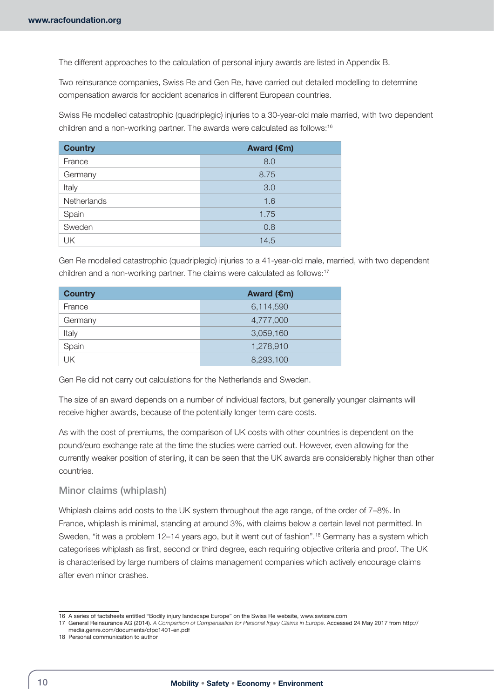The different approaches to the calculation of personal injury awards are listed in Appendix B.

Two reinsurance companies, Swiss Re and Gen Re, have carried out detailed modelling to determine compensation awards for accident scenarios in different European countries.

Swiss Re modelled catastrophic (quadriplegic) injuries to a 30-year-old male married, with two dependent children and a non-working partner. The awards were calculated as follows:16

| <b>Country</b> | Award (€m) |
|----------------|------------|
| France         | 8.0        |
| Germany        | 8.75       |
| Italy          | 3.0        |
| Netherlands    | 1.6        |
| Spain          | 1.75       |
| Sweden         | 0.8        |
| UK             | 14.5       |

Gen Re modelled catastrophic (quadriplegic) injuries to a 41-year-old male, married, with two dependent children and a non-working partner. The claims were calculated as follows:<sup>17</sup>

| <b>Country</b> | Award $(\epsilon m)$ |
|----------------|----------------------|
| France         | 6,114,590            |
| Germany        | 4,777,000            |
| Italy          | 3,059,160            |
| Spain          | 1,278,910            |
| UK             | 8,293,100            |

Gen Re did not carry out calculations for the Netherlands and Sweden.

The size of an award depends on a number of individual factors, but generally younger claimants will receive higher awards, because of the potentially longer term care costs.

As with the cost of premiums, the comparison of UK costs with other countries is dependent on the pound/euro exchange rate at the time the studies were carried out. However, even allowing for the currently weaker position of sterling, it can be seen that the UK awards are considerably higher than other countries.

#### Minor claims (whiplash)

Whiplash claims add costs to the UK system throughout the age range, of the order of 7–8%. In France, whiplash is minimal, standing at around 3%, with claims below a certain level not permitted. In Sweden, "it was a problem 12–14 years ago, but it went out of fashion".18 Germany has a system which categorises whiplash as first, second or third degree, each requiring objective criteria and proof. The UK is characterised by large numbers of claims management companies which actively encourage claims after even minor crashes.

<sup>16</sup> A series of factsheets entitled "Bodily injury landscape Europe" on the Swiss Re website, [www.swissre.com](http://www.swissre.com)

<sup>17</sup> General Reinsurance AG (2014). *A Comparison of Compensation for Personal Injury Claims in Europe*. Accessed 24 May 2017 from [http://](http://media.genre.com/documents/cfpc1401-en.pdf) [media.genre.com/documents/cfpc1401-en.pdf](http://media.genre.com/documents/cfpc1401-en.pdf)

<sup>18</sup> Personal communication to author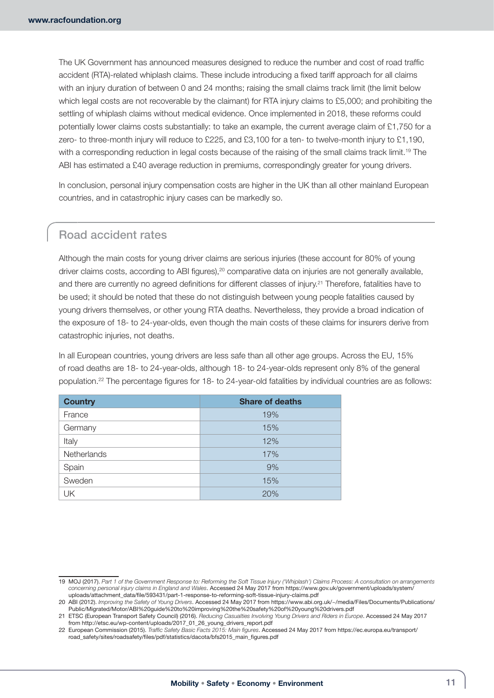The UK Government has announced measures designed to reduce the number and cost of road traffic accident (RTA)-related whiplash claims. These include introducing a fixed tariff approach for all claims with an injury duration of between 0 and 24 months; raising the small claims track limit (the limit below which legal costs are not recoverable by the claimant) for RTA injury claims to £5,000; and prohibiting the settling of whiplash claims without medical evidence. Once implemented in 2018, these reforms could potentially lower claims costs substantially: to take an example, the current average claim of £1,750 for a zero- to three-month injury will reduce to £225, and £3,100 for a ten- to twelve-month injury to £1,190, with a corresponding reduction in legal costs because of the raising of the small claims track limit.<sup>19</sup> The ABI has estimated a £40 average reduction in premiums, correspondingly greater for young drivers.

In conclusion, personal injury compensation costs are higher in the UK than all other mainland European countries, and in catastrophic injury cases can be markedly so.

# Road accident rates

Although the main costs for young driver claims are serious injuries (these account for 80% of young driver claims costs, according to ABI figures),<sup>20</sup> comparative data on injuries are not generally available, and there are currently no agreed definitions for different classes of injury.<sup>21</sup> Therefore, fatalities have to be used; it should be noted that these do not distinguish between young people fatalities caused by young drivers themselves, or other young RTA deaths. Nevertheless, they provide a broad indication of the exposure of 18- to 24-year-olds, even though the main costs of these claims for insurers derive from catastrophic injuries, not deaths.

In all European countries, young drivers are less safe than all other age groups. Across the EU, 15% of road deaths are 18- to 24-year-olds, although 18- to 24-year-olds represent only 8% of the general population.22 The percentage figures for 18- to 24-year-old fatalities by individual countries are as follows:

| <b>Country</b> | <b>Share of deaths</b> |
|----------------|------------------------|
| France         | 19%                    |
| Germany        | 15%                    |
| Italy          | 12%                    |
| Netherlands    | 17%                    |
| Spain          | 9%                     |
| Sweden         | 15%                    |
| UK             | 20%                    |

<sup>19</sup> MOJ (2017). *Part 1 of the Government Response to: Reforming the Soft Tissue Injury ('Whiplash') Claims Process: A consultation on arrangements concerning personal injury claims in England and Wales*. Accessed 24 May 2017 from [https://www.gov.uk/government/uploads/system/](https://www.gov.uk/government/uploads/system/uploads/attachment_data/file/593431/part-1-response-to-reforming-soft-tissue-injury-claims.pdf) [uploads/attachment\\_data/file/593431/part-1-response-to-reforming-soft-tissue-injury-claims.pdf](https://www.gov.uk/government/uploads/system/uploads/attachment_data/file/593431/part-1-response-to-reforming-soft-tissue-injury-claims.pdf)

<sup>20</sup> ABI (2012). *Improving the Safety of Young Drivers*. Accessed 24 May 2017 from [https://www.abi.org.uk/~/media/Files/Documents/Publications/](https://www.abi.org.uk/~/media/Files/Documents/Publications/Public/Migrated/Motor/ABI%20guide%20to%20improving%20the%20safety%20of%20young%20drivers.pdf) [Public/Migrated/Motor/ABI%20guide%20to%20improving%20the%20safety%20of%20young%20drivers.pdf](https://www.abi.org.uk/~/media/Files/Documents/Publications/Public/Migrated/Motor/ABI%20guide%20to%20improving%20the%20safety%20of%20young%20drivers.pdf)

<sup>21</sup> ETSC (European Transport Safety Council) (2016). *Reducing Casualties Involving Young Drivers and Riders in Europe*. Accessed 24 May 2017 from [http://etsc.eu/wp-content/uploads/2017\\_01\\_26\\_young\\_drivers\\_report.pdf](http://etsc.eu/wp-content/uploads/2017_01_26_young_drivers_report.pdf)

<sup>22</sup> European Commission (2015). *Traffic Safety Basic Facts 2015: Main figures*. Accessed 24 May 2017 from [https://ec.europa.eu/transport/](https://ec.europa.eu/transport/road_safety/sites/roadsafety/files/pdf/statistics/dacota/bfs2015_main_figures.pdf) [road\\_safety/sites/roadsafety/files/pdf/statistics/dacota/bfs2015\\_main\\_figures.pdf](https://ec.europa.eu/transport/road_safety/sites/roadsafety/files/pdf/statistics/dacota/bfs2015_main_figures.pdf)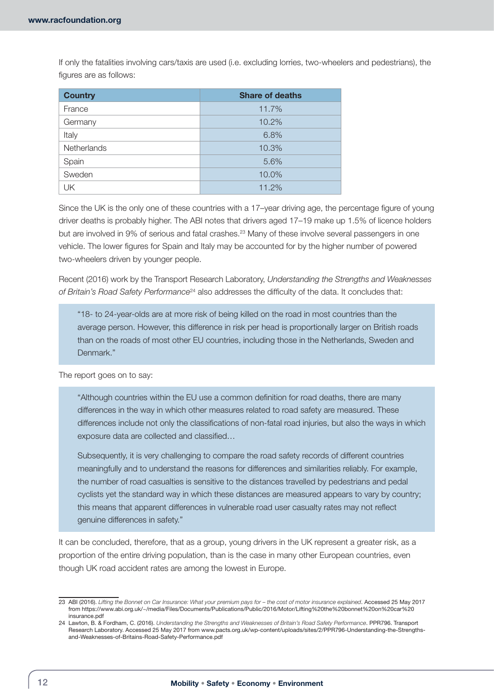If only the fatalities involving cars/taxis are used (i.e. excluding lorries, two-wheelers and pedestrians), the figures are as follows:

| <b>Country</b> | <b>Share of deaths</b> |
|----------------|------------------------|
| France         | 11.7%                  |
| Germany        | 10.2%                  |
| Italy          | 6.8%                   |
| Netherlands    | 10.3%                  |
| Spain          | 5.6%                   |
| Sweden         | 10.0%                  |
| UK             | 11.2%                  |

Since the UK is the only one of these countries with a 17–year driving age, the percentage figure of young driver deaths is probably higher. The ABI notes that drivers aged 17–19 make up 1.5% of licence holders but are involved in 9% of serious and fatal crashes.<sup>23</sup> Many of these involve several passengers in one vehicle. The lower figures for Spain and Italy may be accounted for by the higher number of powered two-wheelers driven by younger people.

Recent (2016) work by the Transport Research Laboratory, *Understanding the Strengths and Weaknesses of Britain's Road Safety Performance*24 also addresses the difficulty of the data. It concludes that:

"18- to 24-year-olds are at more risk of being killed on the road in most countries than the average person. However, this difference in risk per head is proportionally larger on British roads than on the roads of most other EU countries, including those in the Netherlands, Sweden and Denmark."

The report goes on to say:

"Although countries within the EU use a common definition for road deaths, there are many differences in the way in which other measures related to road safety are measured. These differences include not only the classifications of non-fatal road injuries, but also the ways in which exposure data are collected and classified…

Subsequently, it is very challenging to compare the road safety records of different countries meaningfully and to understand the reasons for differences and similarities reliably. For example, the number of road casualties is sensitive to the distances travelled by pedestrians and pedal cyclists yet the standard way in which these distances are measured appears to vary by country; this means that apparent differences in vulnerable road user casualty rates may not reflect genuine differences in safety."

It can be concluded, therefore, that as a group, young drivers in the UK represent a greater risk, as a proportion of the entire driving population, than is the case in many other European countries, even though UK road accident rates are among the lowest in Europe.

<sup>23</sup> ABI (2016). Lifting the Bonnet on Car Insurance: What your premium pays for - the cost of motor insurance explained. Accessed 25 May 2017 from [https://www.abi.org.uk/~/media/Files/Documents/Publications/Public/2016/Motor/Lifting%20the%20bonnet%20on%20car%20](https://www.abi.org.uk/~/media/Files/Documents/Publications/Public/2016/Motor/Lifting%20the%20bonnet%20on%20car%20insurance.pdf) [insurance.pdf](https://www.abi.org.uk/~/media/Files/Documents/Publications/Public/2016/Motor/Lifting%20the%20bonnet%20on%20car%20insurance.pdf)

<sup>24</sup> Lawton, B. & Fordham, C. (2016). *Understanding the Strengths and Weaknesses of Britain's Road Safety Performance*. PPR796. Transport Research Laboratory. Accessed 25 May 2017 from [www.pacts.org.uk/wp-content/uploads/sites/2/PPR796-Understanding-the-Strengths](http://www.pacts.org.uk/wp-content/uploads/sites/2/PPR796-Understanding-the-Strengths-and-Weaknesses-of-Britains-Road-Safety-Performance.pdf)[and-Weaknesses-of-Britains-Road-Safety-Performance.pdf](http://www.pacts.org.uk/wp-content/uploads/sites/2/PPR796-Understanding-the-Strengths-and-Weaknesses-of-Britains-Road-Safety-Performance.pdf)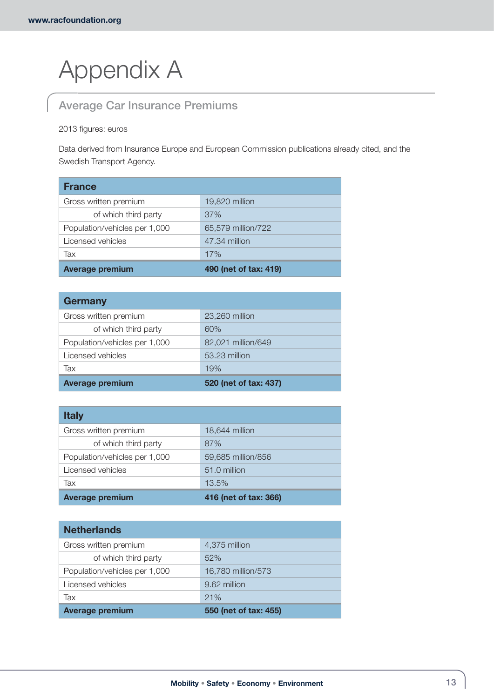# Appendix A

# Average Car Insurance Premiums

## 2013 figures: euros

Data derived from Insurance Europe and European Commission publications already cited, and the Swedish Transport Agency.

| <b>France</b>                 |                       |
|-------------------------------|-----------------------|
| Gross written premium         | 19,820 million        |
| of which third party          | 37%                   |
| Population/vehicles per 1,000 | 65,579 million/722    |
| Licensed vehicles             | 47.34 million         |
| Tax                           | 17%                   |
| <b>Average premium</b>        | 490 (net of tax: 419) |

| <b>Germany</b>                |                       |
|-------------------------------|-----------------------|
| Gross written premium         | 23,260 million        |
| of which third party          | 60%                   |
| Population/vehicles per 1,000 | 82,021 million/649    |
| Licensed vehicles             | 53.23 million         |
| Tax                           | 19%                   |
| <b>Average premium</b>        | 520 (net of tax: 437) |

| <b>Italy</b>                  |                       |
|-------------------------------|-----------------------|
| Gross written premium         | 18,644 million        |
| of which third party          | 87%                   |
| Population/vehicles per 1,000 | 59,685 million/856    |
| Licensed vehicles             | 51.0 million          |
| Tax                           | 13.5%                 |
| <b>Average premium</b>        | 416 (net of tax: 366) |

| <b>Netherlands</b>            |                       |
|-------------------------------|-----------------------|
| Gross written premium         | 4,375 million         |
| of which third party          | 52%                   |
| Population/vehicles per 1,000 | 16,780 million/573    |
| Licensed vehicles             | 9.62 million          |
| Tax                           | 21%                   |
| <b>Average premium</b>        | 550 (net of tax: 455) |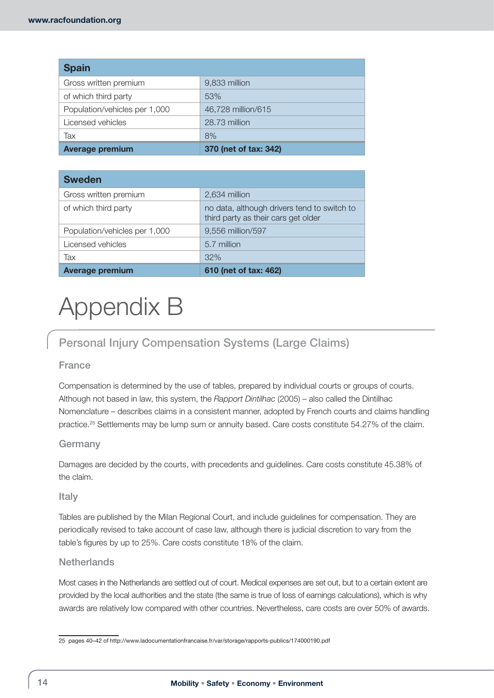| <b>Spain</b>                  |                       |
|-------------------------------|-----------------------|
| Gross written premium         | 9,833 million         |
| of which third party          | 53%                   |
| Population/vehicles per 1,000 | 46,728 million/615    |
| Licensed vehicles             | 28.73 million         |
| Tax                           | 8%                    |
| <b>Average premium</b>        | 370 (net of tax: 342) |

| <b>Sweden</b>                 |                                                                                    |
|-------------------------------|------------------------------------------------------------------------------------|
| Gross written premium         | 2,634 million                                                                      |
| of which third party          | no data, although drivers tend to switch to<br>third party as their cars get older |
| Population/vehicles per 1,000 | 9,556 million/597                                                                  |
| Licensed vehicles             | 5.7 million                                                                        |
| Tax                           | 32%                                                                                |
| <b>Average premium</b>        | 610 (net of tax: 462)                                                              |

# Appendix B

# Personal Injury Compensation Systems (Large Claims)

# France

Compensation is determined by the use of tables, prepared by individual courts or groups of courts. Although not based in law, this system, the *Rapport Dintilhac* (2005) – also called the Dintilhac Nomenclature – describes claims in a consistent manner, adopted by French courts and claims handling practice.<sup>25</sup> Settlements may be lump sum or annuity based. Care costs constitute 54.27% of the claim.

# Germany

Damages are decided by the courts, with precedents and guidelines. Care costs constitute 45.38% of the claim.

# Italy

Tables are published by the Milan Regional Court, and include guidelines for compensation. They are periodically revised to take account of case law, although there is judicial discretion to vary from the table's figures by up to 25%. Care costs constitute 18% of the claim.

# **Netherlands**

Most cases in the Netherlands are settled out of court. Medical expenses are set out, but to a certain extent are provided by the local authorities and the state (the same is true of loss of earnings calculations), which is why awards are relatively low compared with other countries. Nevertheless, care costs are over 50% of awards.

<sup>25</sup> pages 40–42 of <http://www.ladocumentationfrancaise.fr/var/storage/rapports-publics/174000190.pdf>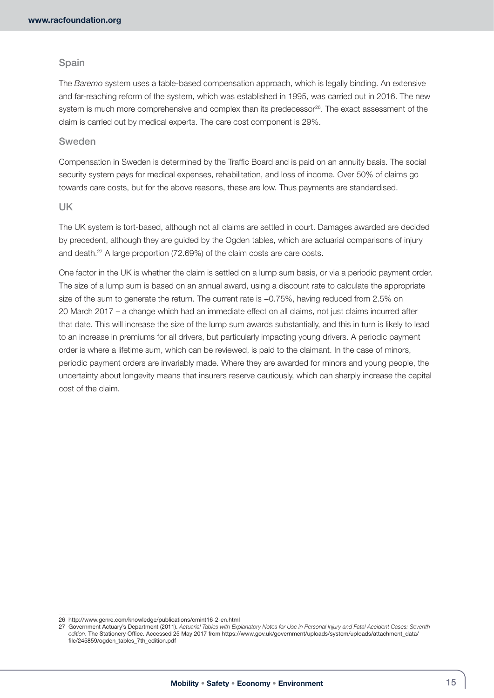### Spain

The *Baremo* system uses a table-based compensation approach, which is legally binding. An extensive and far-reaching reform of the system, which was established in 1995, was carried out in 2016. The new system is much more comprehensive and complex than its predecessor<sup>26</sup>. The exact assessment of the claim is carried out by medical experts. The care cost component is 29%.

## Sweden

Compensation in Sweden is determined by the Traffic Board and is paid on an annuity basis. The social security system pays for medical expenses, rehabilitation, and loss of income. Over 50% of claims go towards care costs, but for the above reasons, these are low. Thus payments are standardised.

#### UK

The UK system is tort-based, although not all claims are settled in court. Damages awarded are decided by precedent, although they are guided by the Ogden tables, which are actuarial comparisons of injury and death.27 A large proportion (72.69%) of the claim costs are care costs.

One factor in the UK is whether the claim is settled on a lump sum basis, or via a periodic payment order. The size of a lump sum is based on an annual award, using a discount rate to calculate the appropriate size of the sum to generate the return. The current rate is  $-0.75%$ , having reduced from 2.5% on 20 March 2017 – a change which had an immediate effect on all claims, not just claims incurred after that date. This will increase the size of the lump sum awards substantially, and this in turn is likely to lead to an increase in premiums for all drivers, but particularly impacting young drivers. A periodic payment order is where a lifetime sum, which can be reviewed, is paid to the claimant. In the case of minors, periodic payment orders are invariably made. Where they are awarded for minors and young people, the uncertainty about longevity means that insurers reserve cautiously, which can sharply increase the capital cost of the claim.

<sup>26</sup> <http://www.genre.com/knowledge/publications/cmint16-2-en.html>

<sup>27</sup> Government Actuary's Department (2011). *Actuarial Tables with Explanatory Notes for Use in Personal Injury and Fatal Accident Cases: Seventh edition*. The Stationery Office. Accessed 25 May 2017 from [https://www.gov.uk/government/uploads/system/uploads/attachment\\_data/](https://www.gov.uk/government/uploads/system/uploads/attachment_data/file/245859/ogden_tables_7th_edition.pdf) [file/245859/ogden\\_tables\\_7th\\_edition.pdf](https://www.gov.uk/government/uploads/system/uploads/attachment_data/file/245859/ogden_tables_7th_edition.pdf)